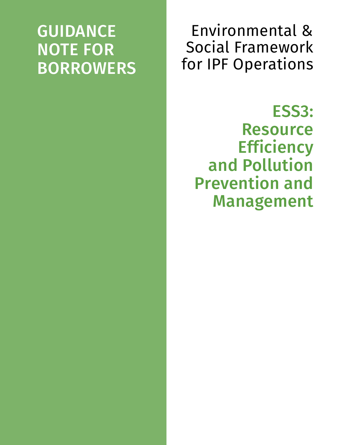## GUIDANCE NOTE FOR BORROWERS

Environmental & Social Framework for IPF Operations

ESS3: Resource **Efficiency** and Pollution Prevention and Management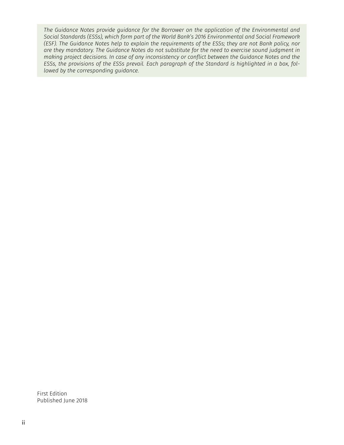*The Guidance Notes provide guidance for the Borrower on the application of the Environmental and Social Standards (ESSs), which form part of the World Bank's 2016 Environmental and Social Framework (ESF). The Guidance Notes help to explain the requirements of the ESSs; they are not Bank policy, nor are they mandatory. The Guidance Notes do not substitute for the need to exercise sound judgment in making project decisions. In case of any inconsistency or conflict between the Guidance Notes and the ESSs, the provisions of the ESSs prevail. Each paragraph of the Standard is highlighted in a box, followed by the corresponding guidance.*

First Edition Published June 2018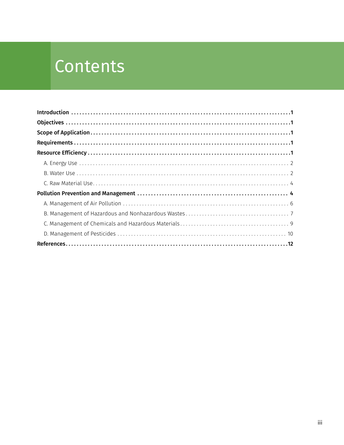# Contents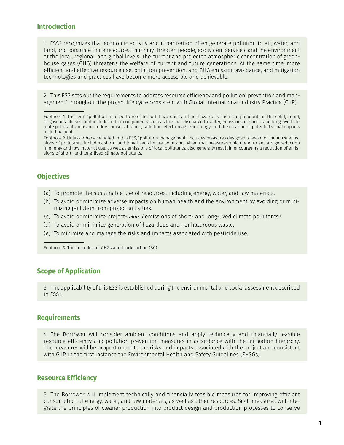## <span id="page-4-0"></span>**Introduction**

1. ESS3 recognizes that economic activity and urbanization often generate pollution to air, water, and land, and consume finite resources that may threaten people, ecosystem services, and the environment at the local, regional, and global levels. The current and projected atmospheric concentration of greenhouse gases (GHG) threatens the welfare of current and future generations. At the same time, more efficient and effective resource use, pollution prevention, and GHG emission avoidance, and mitigation technologies and practices have become more accessible and achievable.

2. This ESS sets out the requirements to address resource efficiency and pollution<sup>1</sup> prevention and management2 throughout the project life cycle consistent with Global International Industry Practice (GIIP).

## **Objectives**

- (a) To promote the sustainable use of resources, including energy, water, and raw materials.
- (b) To avoid or minimize adverse impacts on human health and the environment by avoiding or minimizing pollution from project activities.
- (c) To avoid or minimize project-*related* emissions of short- and long-lived climate pollutants.3
- (d) To avoid or minimize generation of hazardous and nonhazardous waste.
- (e) To minimize and manage the risks and impacts associated with pesticide use.

Footnote 3. This includes all GHGs and black carbon (BC).

## **Scope of Application**

3. The applicability of this ESS is established during the environmental and social assessment described in ESS1.

## **Requirements**

4. The Borrower will consider ambient conditions and apply technically and financially feasible resource efficiency and pollution prevention measures in accordance with the mitigation hierarchy. The measures will be proportionate to the risks and impacts associated with the project and consistent with GIIP, in the first instance the Environmental Health and Safety Guidelines (EHSGs).

## **Resource Efficiency**

5. The Borrower will implement technically and financially feasible measures for improving efficient consumption of energy, water, and raw materials, as well as other resources. Such measures will integrate the principles of cleaner production into product design and production processes to conserve

Footnote 1. The term "pollution" is used to refer to both hazardous and nonhazardous chemical pollutants in the solid, liquid, or gaseous phases, and includes other components such as thermal discharge to water, emissions of short- and long-lived climate pollutants, nuisance odors, noise, vibration, radiation, electromagnetic energy, and the creation of potential visual impacts including light.

Footnote 2. Unless otherwise noted in this ESS, "pollution management" includes measures designed to avoid or minimize emissions of pollutants, including short- and long-lived climate pollutants, given that measures which tend to encourage reduction in energy and raw material use, as well as emissions of local pollutants, also generally result in encouraging a reduction of emissions of short- and long-lived climate pollutants.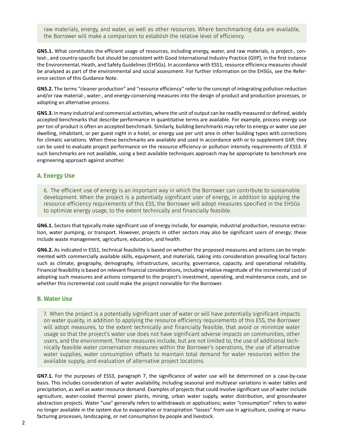<span id="page-5-0"></span>raw materials, energy, and water, as well as other resources. Where benchmarking data are available, the Borrower will make a comparison to establish the relative level of efficiency.

**GN5.1.** What constitutes the efficient usage of resources, including energy, water, and raw materials, is project-, context-, and country-specific but should be consistent with Good International Industry Practice (GIIP), in the first instance the Environmental, Heath, and Safety Guidelines (EHSGs). In accordance with ESS1, resource efficiency measures should be analyzed as part of the environmental and social assessment. For further information on the EHSGs, see the Reference section of this Guidance Note.

GN5.2. The terms "cleaner production" and "resource efficiency" refer to the concept of integrating pollution reduction and/or raw material-, water-, and energy-conserving measures into the design of product and production processes, or adopting an alternative process.

**GN5.3.** In many industrial and commercial activities, where the unit of output can be readily measured or defined, widely accepted benchmarks that describe performance in quantitative terms are available. For example, process energy use per ton of product is often an accepted benchmark. Similarly, building benchmarks may refer to energy or water use per dwelling, inhabitant, or per guest night in a hotel, or energy use per unit area in other building types with corrections for climatic variations. When these benchmarks are available and used in accordance with or to supplement GIIP, they can be used to evaluate project performance on the resource efficiency or pollution intensity requirements of ESS3. If such benchmarks are not available, using a best available techniques approach may be appropriate to benchmark one engineering approach against another.

## **A. Energy Use**

6. The efficient use of energy is an important way in which the Borrower can contribute to sustainable development. When the project is a potentially significant user of energy, in addition to applying the resource efficiency requirements of this ESS, the Borrower will adopt measures specified in the EHSGs to optimize energy usage, to the extent technically and financially feasible.

**GN6.1.** Sectors that typically make significant use of energy include, for example, industrial production, resource extraction, water pumping, or transport. However, projects in other sectors may also be significant users of energy; these include waste management, agriculture, education, and health.

**GN6.2.** As indicated in ESS1, technical feasibility is based on whether the proposed measures and actions can be implemented with commercially available skills, equipment, and materials, taking into consideration prevailing local factors such as climate, geography, demography, infrastructure, security, governance, capacity, and operational reliability. Financial feasibility is based on relevant financial considerations, including relative magnitude of the incremental cost of adopting such measures and actions compared to the project's investment, operating, and maintenance costs, and on whether this incremental cost could make the project nonviable for the Borrower.

#### **B. Water Use**

7. When the project is a potentially significant user of water or will have potentially significant impacts on water quality, in addition to applying the resource efficiency requirements of this ESS, the Borrower will adopt measures, to the extent technically and financially feasible, that avoid or minimize water usage so that the project's water use does not have significant adverse impacts on communities, other users, and the environment. These measures include, but are not limited to, the use of additional technically feasible water conservation measures within the Borrower's operations, the use of alternative water supplies, water consumption offsets to maintain total demand for water resources within the available supply, and evaluation of alternative project locations.

**GN7.1.** For the purposes of ESS3, paragraph 7, the significance of water use will be determined on a case-by-case basis. This includes consideration of water availability, including seasonal and multiyear variations in water tables and precipitation, as well as water resource demand. Examples of projects that could involve significant use of water include agriculture, water-cooled thermal power plants, mining, urban water supply, water distribution, and groundwater abstraction projects. Water "use" generally refers to withdrawals or applications; water "consumption" refers to water no longer available in the system due to evaporative or transpiration "losses" from use in agriculture, cooling or manufacturing processes, landscaping, or net consumption by people and livestock.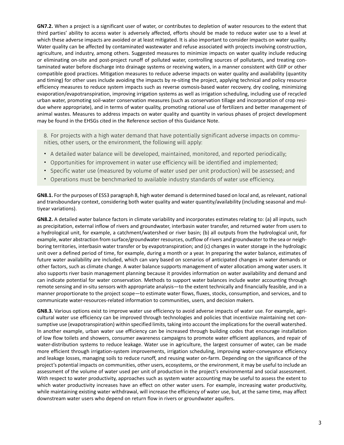**GN7.2.** When a project is a significant user of water, or contributes to depletion of water resources to the extent that third parties' ability to access water is adversely affected, efforts should be made to reduce water use to a level at which these adverse impacts are avoided or at least mitigated. It is also important to consider impacts on water quality. Water quality can be affected by contaminated wastewater and refuse associated with projects involving construction, agriculture, and industry, among others. Suggested measures to minimize impacts on water quality include reducing or eliminating on-site and post-project runoff of polluted water, controlling sources of pollutants, and treating contaminated water before discharge into drainage systems or receiving waters, in a manner consistent with GIIP or other compatible good practices. Mitigation measures to reduce adverse impacts on water quality and availability (quantity and timing) for other uses include avoiding the impacts by re-siting the project, applying technical and policy resource efficiency measures to reduce system impacts such as reverse osmosis-based water recovery, dry cooling, minimizing evaporation/evapotranspiration, improving irrigation systems as well as irrigation scheduling, including use of recycled urban water, promoting soil-water conservation measures (such as conservation tillage and incorporation of crop residue where appropriate), and in terms of water quality, promoting rational use of fertilizers and better management of animal wastes. Measures to address impacts on water quality and quantity in various phases of project development may be found in the EHSGs cited in the Reference section of this Guidance Note.

8. For projects with a high water demand that have potentially significant adverse impacts on communities, other users, or the environment, the following will apply:

- A detailed water balance will be developed, maintained, monitored, and reported periodically;
- Opportunities for improvement in water use efficiency will be identified and implemented;
- Specific water use (measured by volume of water used per unit production) will be assessed; and
- Operations must be benchmarked to available industry standards of water use efficiency.

**GN8.1.** For the purposes of ESS3 paragraph 8, high water demand is determined based on local and, as relevant, national and transboundary context, considering both water quality and water quantity/availability (including seasonal and multiyear variations).

**GN8.2.** A detailed water balance factors in climate variability and incorporates estimates relating to: (a) all inputs, such as precipitation, external inflow of rivers and groundwater, interbasin water transfer, and returned water from users to a hydrological unit, for example, a catchment/watershed or river basin; (b) all outputs from the hydrological unit, for example, water abstraction from surface/groundwater resources, outflow of rivers and groundwater to the sea or neighboring territories, interbasin water transfer or by evapotranspiration; and (c) changes in water storage in the hydrologic unit over a defined period of time, for example, during a month or a year. In preparing the water balance, estimates of future water availability are included, which can vary based on scenarios of anticipated changes in water demands or other factors, such as climate change. A water balance supports management of water allocation among water users. It also supports river basin management planning because it provides information on water availability and demand and can indicate potential for water conservation. Methods to support water balances include water accounting through remote sensing and in-situ sensors with appropriate analysis-to the extent technically and financially feasible, and in a manner proportionate to the project scope-to estimate water flows, fluxes, stocks, consumption, and services, and to communicate water-resources-related information to communities, users, and decision makers.

**GN8.3.** Various options exist to improve water use efficiency to avoid adverse impacts of water use. For example, agricultural water use efficiency can be improved through technologies and policies that incentivize maintaining net consumptive use (evapotranspiration) within specified limits, taking into account the implications for the overall watershed. In another example, urban water use efficiency can be increased through building codes that encourage installation of low flow toilets and showers, consumer awareness campaigns to promote water efficient appliances, and repair of water-distribution systems to reduce leakage. Water use in agriculture, the largest consumer of water, can be made more efficient through irrigation-system improvements, irrigation scheduling, improving water-conveyance efficiency and leakage losses, managing soils to reduce runoff, and reusing water on-farm. Depending on the significance of the project's potential impacts on communities, other users, ecosystems, or the environment, it may be useful to include an assessment of the volume of water used per unit of production in the project's environmental and social assessment. With respect to water productivity, approaches such as system water accounting may be useful to assess the extent to which water productivity increases have an effect on other water users. For example, increasing water productivity, while maintaining existing water withdrawal, will increase the efficiency of water use, but, at the same time, may affect downstream water users who depend on return flow in rivers or groundwater aquifers.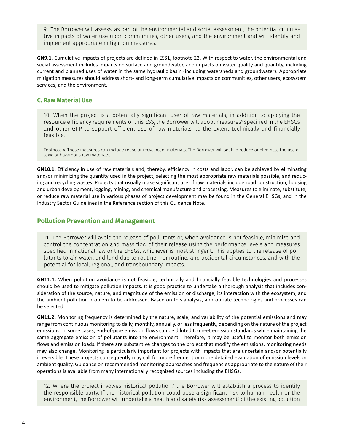<span id="page-7-0"></span>9. The Borrower will assess, as part of the environmental and social assessment, the potential cumulative impacts of water use upon communities, other users, and the environment and will identify and implement appropriate mitigation measures.

**GN9.1.** Cumulative impacts of projects are defined in ESS1, footnote 22. With respect to water, the environmental and social assessment includes impacts on surface and groundwater, and impacts on water quality and quantity, including current and planned uses of water in the same hydraulic basin (including watersheds and groundwater). Appropriate mitigation measures should address short- and long-term cumulative impacts on communities, other users, ecosystem services, and the environment.

## **C. Raw Material Use**

10. When the project is a potentially significant user of raw materials, in addition to applying the resource efficiency requirements of this ESS, the Borrower will adopt measures<del>"</del> specified in the EHSGs and other GIIP to support efficient use of raw materials, to the extent technically and financially feasible.

Footnote 4. These measures can include reuse or recycling of materials. The Borrower will seek to reduce or eliminate the use of toxic or hazardous raw materials.

**GN10.1.** Efficiency in use of raw materials and, thereby, efficiency in costs and labor, can be achieved by eliminating and/or minimizing the quantity used in the project, selecting the most appropriate raw materials possible, and reducing and recycling wastes. Projects that usually make significant use of raw materials include road construction, housing and urban development, logging, mining, and chemical manufacture and processing. Measures to eliminate, substitute, or reduce raw material use in various phases of project development may be found in the General EHSGs, and in the Industry Sector Guidelines in the Reference section of this Guidance Note.

## **Pollution Prevention and Management**

11. The Borrower will avoid the release of pollutants or, when avoidance is not feasible, minimize and control the concentration and mass flow of their release using the performance levels and measures specified in national law or the EHSGs, whichever is most stringent. This applies to the release of pollutants to air, water, and land due to routine, nonroutine, and accidental circumstances, and with the potential for local, regional, and transboundary impacts.

**GN11.1.** When pollution avoidance is not feasible, technically and financially feasible technologies and processes should be used to mitigate pollution impacts. It is good practice to undertake a thorough analysis that includes consideration of the source, nature, and magnitude of the emission or discharge, its interaction with the ecosystem, and the ambient pollution problem to be addressed. Based on this analysis, appropriate technologies and processes can be selected.

**GN11.2.** Monitoring frequency is determined by the nature, scale, and variability of the potential emissions and may range from continuous monitoring to daily, monthly, annually, or less frequently, depending on the nature of the project emissions. In some cases, end-of-pipe emission flows can be diluted to meet emission standards while maintaining the same aggregate emission of pollutants into the environment. Therefore, it may be useful to monitor both emission flows and emission loads. If there are substantive changes to the project that modify the emissions, monitoring needs may also change. Monitoring is particularly important for projects with impacts that are uncertain and/or potentially irreversible. These projects consequently may call for more frequent or more detailed evaluation of emission levels or ambient quality. Guidance on recommended monitoring approaches and frequencies appropriate to the nature of their operations is available from many internationally recognized sources including the EHSGs.

12. Where the project involves historical pollution, $^5$  the Borrower will establish a process to identify the responsible party. If the historical pollution could pose a significant risk to human health or the environment, the Borrower will undertake a health and safety risk assessment<sup>6</sup> of the existing pollution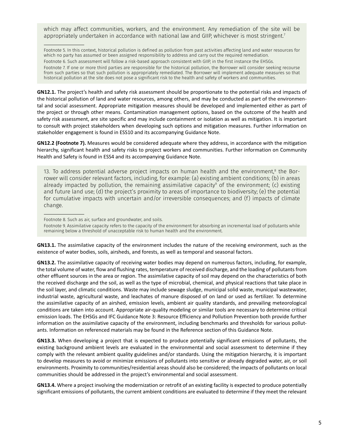which may affect communities, workers, and the environment. Any remediation of the site will be appropriately undertaken in accordance with national law and GIIP, whichever is most stringent.7

Footnote 5. In this context, historical pollution is defined as pollution from past activities affecting land and water resources for which no party has assumed or been assigned responsibility to address and carry out the required remediation. Footnote 6. Such assessment will follow a risk-based approach consistent with GIIP, in the first instance the EHSGs. Footnote 7. If one or more third parties are responsible for the historical pollution, the Borrower will consider seeking recourse from such parties so that such pollution is appropriately remediated. The Borrower will implement adequate measures so that historical pollution at the site does not pose a significant risk to the health and safety of workers and communities.

**GN12.1.** The project's health and safety risk assessment should be proportionate to the potential risks and impacts of the historical pollution of land and water resources, among others, and may be conducted as part of the environmental and social assessment. Appropriate mitigation measures should be developed and implemented either as part of the project or through other means. Contamination management options, based on the outcome of the health and safety risk assessment, are site specific and may include containment or isolation as well as mitigation. It is important to consult with project stakeholders when developing such options and mitigation measures. Further information on stakeholder engagement is found in ESS10 and its accompanying Guidance Note.

**GN12.2 (Footnote 7).** Measures would be considered adequate where they address, in accordance with the mitigation hierarchy, significant health and safety risks to project workers and communities. Further information on Community Health and Safety is found in ESS4 and its accompanying Guidance Note.

13. To address potential adverse project impacts on human health and the environment, $^{\text{\tiny{8}}}$  the Borrower will consider relevant factors, including, for example: (a) existing ambient conditions; (b) in areas already impacted by pollution, the remaining assimilative capacity $^{\circ}$  of the environment; (c) existing and future land use; (d) the project's proximity to areas of importance to biodiversity; (e) the potential for cumulative impacts with uncertain and/or irreversible consequences; and (f) impacts of climate change.

Footnote 8. Such as air, surface and groundwater, and soils.

Footnote 9. Assimilative capacity refers to the capacity of the environment for absorbing an incremental load of pollutants while remaining below a threshold of unacceptable risk to human health and the environment.

**GN13.1.** The assimilative capacity of the environment includes the nature of the receiving environment, such as the existence of water bodies, soils, airsheds, and forests, as well as temporal and seasonal factors.

**GN13.2.** The assimilative capacity of receiving water bodies may depend on numerous factors, including, for example, the total volume of water, flow and flushing rates, temperature of received discharge, and the loading of pollutants from other effluent sources in the area or region. The assimilative capacity of soil may depend on the characteristics of both the received discharge and the soil, as well as the type of microbial, chemical, and physical reactions that take place in the soil layer, and climatic conditions. Waste may include sewage sludge, municipal solid waste, municipal wastewater, industrial waste, agricultural waste, and leachates of manure disposed of on land or used as fertilizer. To determine the assimilative capacity of an airshed, emission levels, ambient air quality standards, and prevailing meteorological conditions are taken into account. Appropriate air-quality modeling or similar tools are necessary to determine critical emission loads. The EHSGs and IFC Guidance Note 3: Resource Efficiency and Pollution Prevention both provide further information on the assimilative capacity of the environment, including benchmarks and thresholds for various pollutants. Information on referenced materials may be found in the Reference section of this Guidance Note.

**GN13.3.** When developing a project that is expected to produce potentially significant emissions of pollutants, the existing background ambient levels are evaluated in the environmental and social assessment to determine if they comply with the relevant ambient quality guidelines and/or standards. Using the mitigation hierarchy, it is important to develop measures to avoid or minimize emissions of pollutants into sensitive or already degraded water, air, or soil environments. Proximity to communities/residential areas should also be considered; the impacts of pollutants on local communities should be addressed in the project's environmental and social assessment.

**GN13.4.** Where a project involving the modernization or retrofit of an existing facility is expected to produce potentially significant emissions of pollutants, the current ambient conditions are evaluated to determine if they meet the relevant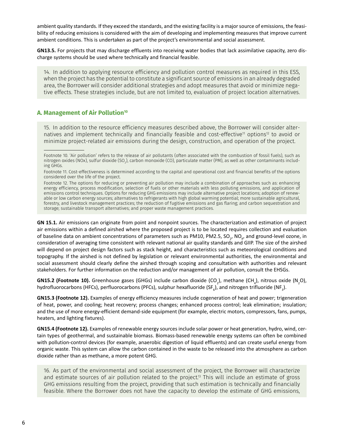<span id="page-9-0"></span>ambient quality standards. If they exceed the standards, and the existing facility is a major source of emissions, the feasibility of reducing emissions is considered with the aim of developing and implementing measures that improve current ambient conditions. This is undertaken as part of the project's environmental and social assessment.

**GN13.5.** For projects that may discharge effluents into receiving water bodies that lack assimilative capacity, zero discharge systems should be used where technically and financial feasible.

14. In addition to applying resource efficiency and pollution control measures as required in this ESS, when the project has the potential to constitute a significant source of emissions in an already degraded area, the Borrower will consider additional strategies and adopt measures that avoid or minimize negative effects. These strategies include, but are not limited to, evaluation of project location alternatives.

### **A. Management of Air Pollution10**

15. In addition to the resource efficiency measures described above, the Borrower will consider alternatives and implement technically and financially feasible and cost-effective<sup>11</sup> options<sup>12</sup> to avoid or minimize project-related air emissions during the design, construction, and operation of the project.

**GN 15.1.** Air emissions can originate from point and nonpoint sources. The characterization and estimation of project air emissions within a defined airshed where the proposed project is to be located requires collection and evaluation of baseline data on ambient concentrations of parameters such as PM10, PM2.5, SO<sub>2</sub>, NO<sub>x</sub>, and ground-level ozone, in consideration of averaging time consistent with relevant national air quality standards and GIIP. The size of the airshed will depend on project design factors such as stack height, and characteristics such as meteorological conditions and topography. If the airshed is not defined by legislation or relevant environmental authorities, the environmental and social assessment should clearly define the airshed through scoping and consultation with authorities and relevant stakeholders. For further information on the reduction and/or management of air pollution, consult the EHSGs.

**GN15.2 (Footnote 10).** Greenhouse gases (GHGs) include carbon dioxide (CO<sub>2</sub>), methane (CH<sub>4</sub>), nitrous oxide (N<sub>2</sub>O), hydrofluorocarbons (HFCs), perfluorocarbons (PFCs), sulphur hexafluoride (SF<sub>6</sub>), and nitrogen trifluoride (NF<sub>3</sub>).

**GN15.3 (Footnote 12).** Examples of energy efficiency measures include cogeneration of heat and power; trigeneration of heat, power, and cooling; heat recovery; process changes; enhanced process control; leak elimination; insulation; and the use of more energy-efficient demand-side equipment (for example, electric motors, compressors, fans, pumps, heaters, and lighting fixtures).

**GN15.4 (Footnote 12).** Examples of renewable energy sources include solar power or heat generation, hydro, wind, certain types of geothermal, and sustainable biomass. Biomass-based renewable energy systems can often be combined with pollution-control devices (for example, anaerobic digestion of liquid effluents) and can create useful energy from organic waste. This system can allow the carbon contained in the waste to be released into the atmosphere as carbon dioxide rather than as methane, a more potent GHG.

16. As part of the environmental and social assessment of the project, the Borrower will characterize and estimate sources of air pollution related to the project.<sup>13</sup> This will include an estimate of gross GHG emissions resulting from the project, providing that such estimation is technically and financially feasible. Where the Borrower does not have the capacity to develop the estimate of GHG emissions,

Footnote 10. 'Air pollution' refers to the release of air pollutants (often associated with the combustion of fossil fuels), such as nitrogen oxides (NOx), sulfur dioxide (SO<sub>2</sub>), carbon monoxide (CO), particulate matter (PM), as well as other contaminants including GHGs.

Footnote 11. Cost-effectiveness is determined according to the capital and operational cost and financial benefits of the options considered over the life of the project.

Footnote 12. The options for reducing or preventing air pollution may include a combination of approaches such as: enhancing energy efficiency, process modification, selection of fuels or other materials with less polluting emissions, and application of emissions control techniques. Options for reducing GHG emissions may include alternative project locations; adoption of renewable or low carbon energy sources; alternatives to refrigerants with high global warming potential; more sustainable agricultural, forestry, and livestock management practices; the reduction of fugitive emissions and gas flaring; and carbon sequestration and storage; sustainable transport alternatives; and proper waste management practices.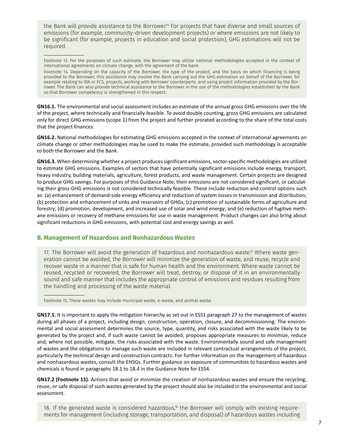<span id="page-10-0"></span>the Bank will provide assistance to the Borrower.<sup>14</sup> For projects that have diverse and small sources of emissions (for example, community-driven development projects) or where emissions are not likely to be significant (for example, projects in education and social protection), GHG estimations will not be required.

Footnote 13. For the purposes of such estimate, the Borrower may utilize national methodologies accepted in the context of international agreements on climate change, with the agreement of the bank.

Footnote 14. Depending on the capacity of the Borrower, the type of the project, and the basis on which financing is being provided to the Borrower, this assistance may involve the Bank carrying out the GHG estimation on behalf of the Borrower, for example relating to IDA or FCS, projects, working with Borrower counterparts, and using project information provided by the Borrower. The Bank can also provide technical assistance to the Borrower in the use of the methodologies established by the Bank so that Borrower competency is strengthened in this respect.

**GN16.1.** The environmental and social assessment includes an estimate of the annual gross GHG emissions over the life of the project, where technically and financially feasible. To avoid double counting, gross GHG emissions are calculated only for direct GHG emissions (scope 1) from the project and further prorated according to the share of the total costs that the project finances.

**GN16.2.** National methodologies for estimating GHG emissions accepted in the context of international agreements on climate change or other methodologies may be used to make the estimate, provided such methodology is acceptable to both the Borrower and the Bank.

**GN16.3.** When determining whether a project produces significant emissions, sector-specific methodologies are utilized to estimate GHG emissions. Examples of sectors that have potentially significant emissions include energy, transport, heavy industry, building materials, agriculture, forest products, and waste management. Certain projects are designed to produce GHG savings. For purposes of this Guidance Note, their emissions are not considered significant, or calculating their gross GHG emissions is not considered technically feasible. These include reduction and control options such as: (a) enhancement of demand-side energy efficiency and reduction of system losses in transmission and distribution; (b) protection and enhancement of sinks and reservoirs of GHGs; (c) promotion of sustainable forms of agriculture and forestry; (d) promotion, development, and increased use of solar and wind energy; and (e) reduction of fugitive methane emissions or recovery of methane emissions for use in waste management. Product changes can also bring about significant reductions in GHG emissions, with potential cost and energy savings as well.

#### **B. Management of Hazardous and Nonhazardous Wastes**

17. The Borrower will avoid the generation of hazardous and nonhazardous waste.<sup>15</sup> Where waste generation cannot be avoided, the Borrower will minimize the generation of waste, and reuse, recycle and recover waste in a manner that is safe for human health and the environment. Where waste cannot be reused, recycled or recovered, the Borrower will treat, destroy, or dispose of it in an environmentally sound and safe manner that includes the appropriate control of emissions and residues resulting from the handling and processing of the waste material.

Footnote 15. These wastes may include municipal waste, e-waste, and animal waste.

**GN17.1.** It is important to apply the mitigation hierarchy as set out in ESS1 paragraph 27 to the management of wastes during all phases of a project, including design, construction, operation, closure, and decommissioning. The environmental and social assessment determines the source, type, quantity, and risks associated with the waste likely to be generated by the project and, if such waste cannot be avoided, proposes appropriate measures to minimize, reduce and, where not possible, mitigate, the risks associated with the waste. Environmentally sound and safe management of wastes and the obligations to manage such waste are included in relevant contractual arrangements of the project, particularly the technical design and construction contracts. For further information on the management of hazardous and nonhazardous wastes, consult the EHSGs. Further guidance on exposure of communities to hazardous wastes and chemicals is found in paragraphs 18.1 to 18.4 in the Guidance Note for ESS4.

**GN17.2 (Footnote 15).** Actions that avoid or minimize the creation of nonhazardous wastes and ensure the recycling, reuse, or safe disposal of such wastes generated by the project should also be included in the environmental and social assessment.

18. If the generated waste is considered hazardous,<sup>16</sup> the Borrower will comply with existing requirements for management (including storage, transportation, and disposal) of hazardous wastes including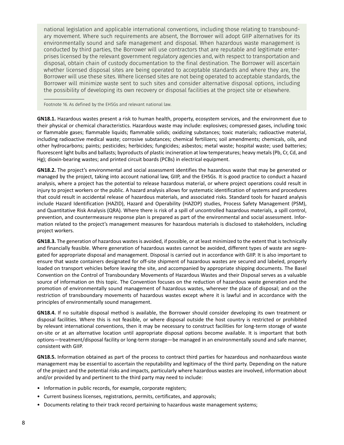national legislation and applicable international conventions, including those relating to transboundary movement. Where such requirements are absent, the Borrower will adopt GIIP alternatives for its environmentally sound and safe management and disposal. When hazardous waste management is conducted by third parties, the Borrower will use contractors that are reputable and legitimate enterprises licensed by the relevant government regulatory agencies and, with respect to transportation and disposal, obtain chain of custody documentation to the final destination. The Borrower will ascertain whether licensed disposal sites are being operated to acceptable standards and where they are, the Borrower will use these sites. Where licensed sites are not being operated to acceptable standards, the Borrower will minimize waste sent to such sites and consider alternative disposal options, including the possibility of developing its own recovery or disposal facilities at the project site or elsewhere.

Footnote 16. As defined by the EHSGs and relevant national law.

**GN18.1.** Hazardous wastes present a risk to human health, property, ecosystem services, and the environment due to their physical or chemical characteristics. Hazardous waste may include: explosives; compressed gases, including toxic or flammable gases; flammable liquids; flammable solids; oxidizing substances; toxic materials; radioactive material, including radioactive medical waste; corrosive substances; chemical fertilizers; soil amendments; chemicals, oils, and other hydrocarbons; paints; pesticides; herbicides; fungicides; asbestos; metal waste; hospital waste; used batteries; fluorescent light bulbs and ballasts; byproducts of plastic incineration at low temperatures; heavy metals (Pb, Cr, Cd, and Hg); dioxin-bearing wastes; and printed circuit boards (PCBs) in electrical equipment.

**GN18.2.** The project's environmental and social assessment identifies the hazardous waste that may be generated or managed by the project, taking into account national law, GIIP, and the EHSGs. It is good practice to conduct a hazard analysis, where a project has the potential to release hazardous material, or where project operations could result in injury to project workers or the public. A hazard analysis allows for systematic identification of systems and procedures that could result in accidental release of hazardous materials, and associated risks. Standard tools for hazard analysis include Hazard Identification (HAZID), Hazard and Operability (HAZOP) studies, Process Safety Management (PSM), and Quantitative Risk Analysis (QRA). Where there is risk of a spill of uncontrolled hazardous materials, a spill control, prevention, and countermeasure response plan is prepared as part of the environmental and social assessment. Information related to the project's management measures for hazardous materials is disclosed to stakeholders, including project workers.

**GN18.3.** The generation of hazardous wastes is avoided, if possible, or at least minimized to the extent that is technically and financially feasible. Where generation of hazardous wastes cannot be avoided, different types of waste are segregated for appropriate disposal and management. Disposal is carried out in accordance with GIIP. It is also important to ensure that waste containers designated for off-site shipment of hazardous wastes are secured and labeled, properly loaded on transport vehicles before leaving the site, and accompanied by appropriate shipping documents. The Basel Convention on the Control of Transboundary Movements of Hazardous Wastes and their Disposal serves as a valuable source of information on this topic. The Convention focuses on the reduction of hazardous waste generation and the promotion of environmentally sound management of hazardous wastes, wherever the place of disposal; and on the restriction of transboundary movements of hazardous wastes except where it is lawful and in accordance with the principles of environmentally sound management.

**GN18.4.** If no suitable disposal method is available, the Borrower should consider developing its own treatment or disposal facilities. Where this is not feasible, or where disposal outside the host country is restricted or prohibited by relevant international conventions, then it may be necessary to construct facilities for long-term storage of waste on-site or at an alternative location until appropriate disposal options become available. It is important that both options-treatment/disposal facility or long-term storage-be managed in an environmentally sound and safe manner, consistent with GIIP.

**GN18.5.** Information obtained as part of the process to contract third parties for hazardous and nonhazardous waste management may be essential to ascertain the reputability and legitimacy of the third party. Depending on the nature of the project and the potential risks and impacts, particularly where hazardous wastes are involved, information about and/or provided by and pertinent to the third party may need to include:

- Information in public records, for example, corporate registers;
- Current business licenses, registrations, permits, certificates, and approvals;
- Documents relating to their track record pertaining to hazardous waste management systems;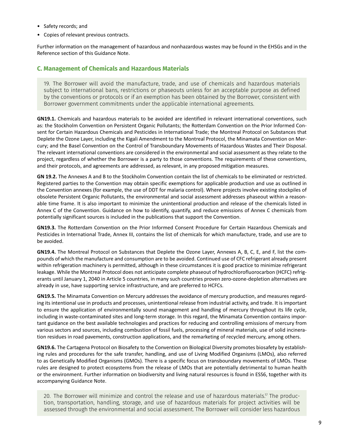- <span id="page-12-0"></span>• Safety records; and
- Copies of relevant previous contracts.

Further information on the management of hazardous and nonhazardous wastes may be found in the EHSGs and in the Reference section of this Guidance Note.

### **C. Management of Chemicals and Hazardous Materials**

19. The Borrower will avoid the manufacture, trade, and use of chemicals and hazardous materials subject to international bans, restrictions or phaseouts unless for an acceptable purpose as defined by the conventions or protocols or if an exemption has been obtained by the Borrower, consistent with Borrower government commitments under the applicable international agreements.

**GN19.1.** Chemicals and hazardous materials to be avoided are identified in relevant international conventions, such as: the Stockholm Convention on Persistent Organic Pollutants; the Rotterdam Convention on the Prior Informed Consent for Certain Hazardous Chemicals and Pesticides in International Trade; the Montreal Protocol on Substances that Deplete the Ozone Layer, including the Kigali Amendment to the Montreal Protocol, the Minamata Convention on Mercury; and the Basel Convention on the Control of Transboundary Movements of Hazardous Wastes and Their Disposal. The relevant international conventions are considered in the environmental and social assessment as they relate to the project, regardless of whether the Borrower is a party to those conventions. The requirements of these conventions, and their protocols, and agreements are addressed, as relevant, in any proposed mitigation measures.

**GN 19.2.** The Annexes A and B to the Stockholm Convention contain the list of chemicals to be eliminated or restricted. Registered parties to the Convention may obtain specific exemptions for applicable production and use as outlined in the Convention annexes (for example, the use of DDT for malaria control). Where projects involve existing stockpiles of obsolete Persistent Organic Pollutants, the environmental and social assessment addresses phaseout within a reasonable time frame. It is also important to minimize the unintentional production and release of the chemicals listed in Annex C of the Convention. Guidance on how to identify, quantify, and reduce emissions of Annex C chemicals from potentially significant sources is included in the publications that support the Convention.

**GN19.3.** The Rotterdam Convention on the Prior Informed Consent Procedure for Certain Hazardous Chemicals and Pesticides in International Trade, Annex III, contains the list of chemicals for which manufacture, trade, and use are to be avoided.

**GN19.4.** The Montreal Protocol on Substances that Deplete the Ozone Layer, Annexes A, B, C, E, and F, list the compounds of which the manufacture and consumption are to be avoided. Continued use of CFC refrigerant already present within refrigeration machinery is permitted, although in these circumstances it is good practice to minimize refrigerant leakage. While the Montreal Protocol does not anticipate complete phaseout of hydrochlorofluorocarbon (HCFC) refrigerants until January 1, 2040 in Article 5 countries, in many such countries proven zero-ozone-depletion alternatives are already in use, have supporting service infrastructure, and are preferred to HCFCs.

**GN19.5.** The Minamata Convention on Mercury addresses the avoidance of mercury production, and measures regarding its intentional use in products and processes, unintentional release from industrial activity, and trade. It is important to ensure the application of environmentally sound management and handling of mercury throughout its life cycle, including in waste-contaminated sites and long-term storage. In this regard, the Minamata Convention contains important guidance on the best available technologies and practices for reducing and controlling emissions of mercury from various sectors and sources, including combustion of fossil fuels, processing of mineral materials, use of solid incineration residues in road pavements, construction applications, and the remarketing of recycled mercury, among others.

**GN19.6.** The Cartagena Protocol on Biosafety to the Convention on Biological Diversity promotes biosafety by establishing rules and procedures for the safe transfer, handling, and use of Living Modified Organisms (LMOs), also referred to as Genetically Modified Organisms (GMOs). There is a specific focus on transboundary movements of LMOs. These rules are designed to protect ecosystems from the release of LMOs that are potentially detrimental to human health or the environment. Further information on biodiversity and living natural resources is found in ESS6, together with its accompanying Guidance Note.

20. The Borrower will minimize and control the release and use of hazardous materials.<sup>17</sup> The production, transportation, handling, storage, and use of hazardous materials for project activities will be assessed through the environmental and social assessment. The Borrower will consider less hazardous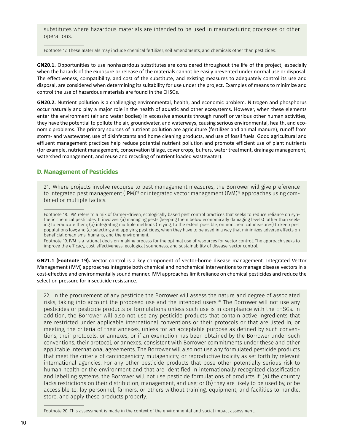<span id="page-13-0"></span>substitutes where hazardous materials are intended to be used in manufacturing processes or other operations.

Footnote 17. These materials may include chemical fertilizer, soil amendments, and chemicals other than pesticides.

**GN20.1.** Opportunities to use nonhazardous substitutes are considered throughout the life of the project, especially when the hazards of the exposure or release of the materials cannot be easily prevented under normal use or disposal. The effectiveness, compatibility, and cost of the substitute, and existing measures to adequately control its use and disposal, are considered when determining its suitability for use under the project. Examples of means to minimize and control the use of hazardous materials are found in the EHSGs.

**GN20.2.** Nutrient pollution is a challenging environmental, health, and economic problem. Nitrogen and phosphorus occur naturally and play a major role in the health of aquatic and other ecosystems. However, when these elements enter the environment (air and water bodies) in excessive amounts through runoff or various other human activities, they have the potential to pollute the air, groundwater, and waterways, causing serious environmental, health, and economic problems. The primary sources of nutrient pollution are agriculture (fertilizer and animal manure), runoff from storm- and wastewater, use of disinfectants and home cleaning products, and use of fossil fuels. Good agricultural and effluent management practices help reduce potential nutrient pollution and promote efficient use of plant nutrients (for example, nutrient management, conservation tillage, cover crops, buffers, water treatment, drainage management, watershed management, and reuse and recycling of nutrient loaded wastewater).

## **D. Management of Pesticides**

21. Where projects involve recourse to pest management measures, the Borrower will give preference to integrated pest management (IPM)<sup>18</sup> or integrated vector management (IVM)<sup>19</sup> approaches using combined or multiple tactics.

Footnote 18. IPM refers to a mix of farmer-driven, ecologically based pest control practices that seeks to reduce reliance on synthetic chemical pesticides. It involves: (a) managing pests (keeping them below economically damaging levels) rather than seeking to eradicate them; (b) integrating multiple methods (relying, to the extent possible, on nonchemical measures) to keep pest populations low; and (c) selecting and applying pesticides, when they have to be used in a way that minimizes adverse effects on beneficial organisms, humans, and the environment.

Footnote 19. IVM is a rational decision-making process for the optimal use of resources for vector control. The approach seeks to improve the efficacy, cost-effectiveness, ecological soundness, and sustainability of disease-vector control.

**GN21.1 (Footnote 19).** Vector control is a key component of vector-borne disease management. Integrated Vector Management (IVM) approaches integrate both chemical and nonchemical interventions to manage disease vectors in a cost-effective and environmentally sound manner. IVM approaches limit reliance on chemical pesticides and reduce the selection pressure for insecticide resistance.

22. In the procurement of any pesticide the Borrower will assess the nature and degree of associated risks, taking into account the proposed use and the intended users.<sup>20</sup> The Borrower will not use any pesticides or pesticide products or formulations unless such use is in compliance with the EHSGs. In addition, the Borrower will also not use any pesticide products that contain active ingredients that are restricted under applicable international conventions or their protocols or that are listed in, or meeting, the criteria of their annexes, unless for an acceptable purpose as defined by such conventions, their protocols, or annexes, or if an exemption has been obtained by the Borrower under such conventions, their protocol, or annexes, consistent with Borrower commitments under these and other applicable international agreements. The Borrower will also not use any formulated pesticide products that meet the criteria of carcinogenicity, mutagenicity, or reproductive toxicity as set forth by relevant international agencies. For any other pesticide products that pose other potentially serious risk to human health or the environment and that are identified in internationally recognized classification and labelling systems, the Borrower will not use pesticide formulations of products if: (a) the country lacks restrictions on their distribution, management, and use; or (b) they are likely to be used by, or be accessible to, lay personnel, farmers, or others without training, equipment, and facilities to handle, store, and apply these products properly.

Footnote 20. This assessment is made in the context of the environmental and social impact assessment.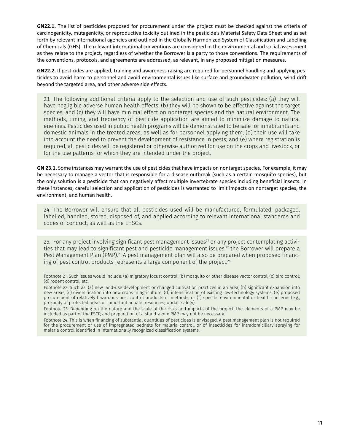**GN22.1.** The list of pesticides proposed for procurement under the project must be checked against the criteria of carcinogenicity, mutagenicity, or reproductive toxicity outlined in the pesticide's Material Safety Data Sheet and as set forth by relevant international agencies and outlined in the Globally Harmonized System of Classification and Labelling of Chemicals (GHS). The relevant international conventions are considered in the environmental and social assessment as they relate to the project, regardless of whether the Borrower is a party to those conventions. The requirements of the conventions, protocols, and agreements are addressed, as relevant, in any proposed mitigation measures.

**GN22.2.** If pesticides are applied, training and awareness raising are required for personnel handling and applying pesticides to avoid harm to personnel and avoid environmental issues like surface and groundwater pollution, wind drift beyond the targeted area, and other adverse side effects.

23. The following additional criteria apply to the selection and use of such pesticides: (a) they will have negligible adverse human health effects; (b) they will be shown to be effective against the target species; and (c) they will have minimal effect on nontarget species and the natural environment. The methods, timing, and frequency of pesticide application are aimed to minimize damage to natural enemies. Pesticides used in public health programs will be demonstrated to be safe for inhabitants and domestic animals in the treated areas, as well as for personnel applying them; (d) their use will take into account the need to prevent the development of resistance in pests; and (e) where registration is required, all pesticides will be registered or otherwise authorized for use on the crops and livestock, or for the use patterns for which they are intended under the project.

**GN 23.1.** Some instances may warrant the use of pesticides that have impacts on nontarget species. For example, it may be necessary to manage a vector that is responsible for a disease outbreak (such as a certain mosquito species), but the only solution is a pesticide that can negatively affect multiple invertebrate species including beneficial insects. In these instances, careful selection and application of pesticides is warranted to limit impacts on nontarget species, the environment, and human health.

24. The Borrower will ensure that all pesticides used will be manufactured, formulated, packaged, labelled, handled, stored, disposed of, and applied according to relevant international standards and codes of conduct, as well as the EHSGs.

25. For any project involving significant pest management issues<sup>21</sup> or any project contemplating activities that may lead to significant pest and pesticide management issues, $^{22}$  the Borrower will prepare a Pest Management Plan (PMP).23 A pest management plan will also be prepared when proposed financing of pest control products represents a large component of the project.<sup>24</sup>

Footnote 21. Such issues would include: (a) migratory locust control; (b) mosquito or other disease vector control; (c) bird control; (d) rodent control, etc.

Footnote 22. Such as: (a) new land-use development or changed cultivation practices in an area; (b) significant expansion into new areas; (c) diversification into new crops in agriculture; (d) intensification of existing low-technology systems; (e) proposed procurement of relatively hazardous pest control products or methods; or (f) specific environmental or health concerns (e.g., proximity of protected areas or important aquatic resources; worker safety).

Footnote 23. Depending on the nature and the scale of the risks and impacts of the project, the elements of a PMP may be included as part of the ESCP, and preparation of a stand-alone PMP may not be necessary.

Footnote 24. This is when financing of substantial quantities of pesticides is envisaged. A pest management plan is not required for the procurement or use of impregnated bednets for malaria control, or of insecticides for intradomiciliary spraying for malaria control identified in internationally recognized classification systems.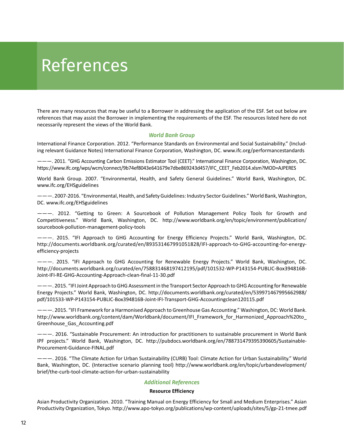## <span id="page-15-0"></span>References

There are many resources that may be useful to a Borrower in addressing the application of the ESF. Set out below are references that may assist the Borrower in implementing the requirements of the ESF. The resources listed here do not necessarily represent the views of the World Bank.

#### *World Bank Group*

International Finance Corporation. 2012. "Performance Standards on Environmental and Social Sustainability." (Including relevant Guidance Notes) International Finance Corporation, Washington, DC. www.ifc.org/performancestandards

 $---$ . 2011. "GHG Accounting Carbon Emissions Estimator Tool (CEET)." International Finance Corporation, Washington, DC. https://www.ifc.org/wps/wcm/connect/9b74ef8043e641679e7dbe869243d457/IFC\_CEET\_Feb2014.xlsm?MOD=AJPERES

World Bank Group. 2007. "Environmental, Health, and Safety General Guidelines." World Bank, Washington, DC. www.ifc.org/EHSguidelines

 $---$  2007-2016. "Environmental, Health, and Safety Guidelines: Industry Sector Guidelines." World Bank, Washington, DC. www.ifc.org/EHSguidelines

 $---$ . 2012. "Getting to Green: A Sourcebook of Pollution Management Policy Tools for Growth and Competitiveness." World Bank, Washington, DC. [http://www.worldbank.org/en/topic/environment/publication/](http://www.worldbank.org/en/topic/environment/publication/sourcebook-pollution-management-policy-tools) [sourcebook-pollution-management-policy-tools](http://www.worldbank.org/en/topic/environment/publication/sourcebook-pollution-management-policy-tools) 

 $---$ . 2015. "IFI Approach to GHG Accounting for Energy Efficiency Projects." World Bank, Washington, DC. [http://documents.worldbank.org/curated/en/893531467991051828/IFI-approach-to-GHG-accounting-for-energy](http://documents.worldbank.org/curated/en/893531467991051828/IFI-approach-to-GHG-accounting-for-energy-efficiency-projects)[efficiency-projects](http://documents.worldbank.org/curated/en/893531467991051828/IFI-approach-to-GHG-accounting-for-energy-efficiency-projects)

 $---$ . 2015. "IFI Approach to GHG Accounting for Renewable Energy Projects." World Bank, Washington, DC. [http://documents.worldbank.org/curated/en/758831468197412195/pdf/101532-WP-P143154-PUBLIC-Box394816B-](http://documents.worldbank.org/curated/en/758831468197412195/pdf/101532-WP-P143154-PUBLIC-Box394816B-Joint-IFI-RE-GHG-Accounting-Approach-clean-final-11-30.pdf)[Joint-IFI-RE-GHG-Accounting-Approach-clean-final-11-30.pdf](http://documents.worldbank.org/curated/en/758831468197412195/pdf/101532-WP-P143154-PUBLIC-Box394816B-Joint-IFI-RE-GHG-Accounting-Approach-clean-final-11-30.pdf)

 $---$  2015. "IFI Joint Approach to GHG Assessment in the Transport Sector Approach to GHG Accounting for Renewable Energy Projects." World Bank, Washington, DC. [http://documents.worldbank.org/curated/en/539971467995662988/](http://documents.worldbank.org/curated/en/539971467995662988/pdf/101533-WP-P143154-PUBLIC-Box394816B-Joint-IFI-Transport-GHG-Accountingclean120115.pdf) [pdf/101533-WP-P143154-PUBLIC-Box394816B-Joint-IFI-Transport-GHG-Accountingclean120115.pdf](http://documents.worldbank.org/curated/en/539971467995662988/pdf/101533-WP-P143154-PUBLIC-Box394816B-Joint-IFI-Transport-GHG-Accountingclean120115.pdf) 

 $---$ . 2015. "IFI Framework for a Harmonised Approach to Greenhouse Gas Accounting." Washington, DC: World Bank. [http://www.worldbank.org/content/dam/Worldbank/document/IFI\\_Framework\\_for\\_Harmonized\\_Approach%20to\\_](http://www.worldbank.org/content/dam/Worldbank/document/IFI_Framework_for_Harmonized_Approach%20to_Greenhouse_Gas_Accounting.pdf) [Greenhouse\\_Gas\\_Accounting.pdf](http://www.worldbank.org/content/dam/Worldbank/document/IFI_Framework_for_Harmonized_Approach%20to_Greenhouse_Gas_Accounting.pdf)

 $---$ . 2016. "Sustainable Procurement: An introduction for practitioners to sustainable procurement in World Bank IPF projects." World Bank, Washington, DC. [http://pubdocs.worldbank.org/en/788731479395390605/Sustainable-](http://pubdocs.worldbank.org/en/788731479395390605/Sustainable-Procurement-Guidance-FINAL.pdf)[Procurement-Guidance-FINAL.pdf](http://pubdocs.worldbank.org/en/788731479395390605/Sustainable-Procurement-Guidance-FINAL.pdf) 

 $---$ . 2016. "The Climate Action for Urban Sustainability (CURB) Tool: Climate Action for Urban Sustainability." World Bank, Washington, DC. (Interactive scenario planning tool) [http://www.worldbank.org/en/topic/urbandevelopment/](http://www.worldbank.org/en/topic/urbandevelopment/brief/the-curb-tool-climate-action-for-urban-sustainability) [brief/the-curb-tool-climate-action-for-urban-sustainability](http://www.worldbank.org/en/topic/urbandevelopment/brief/the-curb-tool-climate-action-for-urban-sustainability) 

#### *Additional References*

#### **Resource Efficiency**

Asian Productivity Organization. 2010. "Training Manual on Energy Efficiency for Small and Medium Enterprises." Asian Productivity Organization, Tokyo. http://www.apo-tokyo.org/publications/wp-content/uploads/sites/5/gp-21-tmee.pdf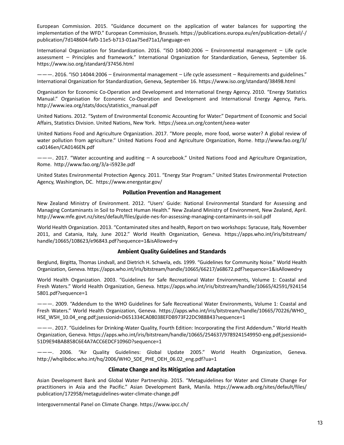European Commission. 2015. Guidance document on the application of water balances for supporting the implementation of the WFD." European Commission, Brussels. [https://publications.europa.eu/en/publication-detail/-/](https://publications.europa.eu/en/publication-detail/-/publication/7d148604-faf0-11e5-b713-01aa75ed71a1/language-en) [publication/7d148604-faf0-11e5-b713-01aa75ed71a1/language-en](https://publications.europa.eu/en/publication-detail/-/publication/7d148604-faf0-11e5-b713-01aa75ed71a1/language-en)

International Organization for Standardization. 2016. "ISO 14040:2006 − Environmental management − Life cycle assessment − Principles and framework." International Organization for Standardization, Geneva, September 16. <https://www.iso.org/standard/37456.html>

. 2016. "ISO 14044:2006 − Environmental management − Life cycle assessment − Requirements and guidelines." International Organization for Standardization, Geneva, September 16. https://www.iso.org/standard/38498.html

Organisation for Economic Co-Operation and Development and International Energy Agency. 2010. "Energy Statistics Manual." Organisation for Economic Co-Operation and Development and International Energy Agency, Paris. [http://www.iea.org/stats/docs/statistics\\_manual.pdf](http://www.iea.org/stats/docs/statistics_manual.pdf)

United Nations. 2012. "System of Environmental Economic Accounting for Water." Department of Economic and Social Affairs, Statistics Division. United Nations, New York. https://seea.un.org/content/seea-water

United Nations Food and Agriculture Organization. 2017. More people, more food, worse water? A global review of water pollution from agriculture." United Nations Food and Agriculture Organization, Rome. [http://www.fao.org/3/](http://www.fao.org/3/ca0146en/CA0146EN.pdf) [ca0146en/CA0146EN.pdf](http://www.fao.org/3/ca0146en/CA0146EN.pdf)

. 2017. Water accounting and auditing − A sourcebook. United Nations Food and Agriculture Organization, Rome. http://www.fao.org/3/a-i5923e.pdf

United States Environmental Protection Agency. 2011. "Energy Star Program." United States Environmental Protection Agency, Washington, DC. https://www.energystar.gov/

#### **Pollution Prevention and Management**

New Zealand Ministry of Environment. 2012. "Users' Guide: National Environmental Standard for Assessing and Managing Contaminants in Soil to Protect Human Health." New Zealand Ministry of Environment, New Zealand, April. <http://www.mfe.govt.nz/sites/default/files/guide-nes-for-assessing-managing-contaminants-in-soil.pdf>

World Health Organization. 2013. "Contaminated sites and health, Report on two workshops: Syracuse, Italy, November 2011, and Catania, Italy, June 2012." World Health Organization, Geneva. [https://apps.who.int/iris/bitstream/](https://apps.who.int/iris/bitstream/handle/10665/108623/e96843.pdf?sequence=1&isAllowed=y) [handle/10665/108623/e96843.pdf?sequence=1&isAllowed=y](https://apps.who.int/iris/bitstream/handle/10665/108623/e96843.pdf?sequence=1&isAllowed=y)

#### **Ambient Quality Guidelines and Standards**

Berglund, Birgitta, Thomas Lindvall, and Dietrich H. Schwela, eds. 1999. "Guidelines for Community Noise." World Health Organization, Geneva. https://apps.who.int/iris/bitstream/handle/10665/66217/a68672.pdf?sequence=1&isAllowed=y

World Health Organization. 2003. "Guidelines for Safe Recreational Water Environments, Volume 1: Coastal and Fresh Waters." World Health Organization, Geneva. [https://apps.who.int/iris/bitstream/handle/10665/42591/924154](https://apps.who.int/iris/bitstream/handle/10665/42591/9241545801.pdf?sequence=1) [5801.pdf?sequence=1](https://apps.who.int/iris/bitstream/handle/10665/42591/9241545801.pdf?sequence=1) 

 $---$ . 2009. "Addendum to the WHO Guidelines for Safe Recreational Water Environments, Volume 1: Coastal and Fresh Waters." World Health Organization, Geneva. https://apps.who.int/iris/bitstream/handle/10665/70226/WHO HSE\_WSH\_10.04\_eng.pdf;jsessionid=D651334CA08038EFDB973F22DC988843?sequence=1

 $---$ . 2017. "Guidelines for Drinking-Water Quality, Fourth Edition: Incorporating the First Addendum." World Health Organization, Geneva. [https://apps.who.int/iris/bitstream/handle/10665/254637/9789241549950-eng.pdf;jsessionid=](https://apps.who.int/iris/bitstream/handle/10665/254637/9789241549950-eng.pdf;jsessionid=51D9E94BAB858C6E4A7ACC6EDCF1096D?sequence=1) [51D9E94BAB858C6E4A7ACC6EDCF1096D?sequence=1](https://apps.who.int/iris/bitstream/handle/10665/254637/9789241549950-eng.pdf;jsessionid=51D9E94BAB858C6E4A7ACC6EDCF1096D?sequence=1) 

---. 2006. "Air Quality Guidelines: Global Update 2005." World Health Organization, Geneva. http://whqlibdoc.who.int/hq/2006/WHO\_SDE\_PHE\_OEH\_06.02\_eng.pdf?ua=1

#### **Climate Change and its Mitigation and Adaptation**

Asian Development Bank and Global Water Partnership. 2015. "Metaguidelines for Water and Climate Change For practitioners in Asia and the Pacific." Asian Development Bank, Manila. [https://www.adb.org/sites/default/files/](https://www.adb.org/sites/default/files/publication/172958/metaguidelines-water-climate-change.pdf) [publication/172958/metaguidelines-water-climate-change.pdf](https://www.adb.org/sites/default/files/publication/172958/metaguidelines-water-climate-change.pdf) 

Intergovernmental Panel on Climate Change. https://www.ipcc.ch/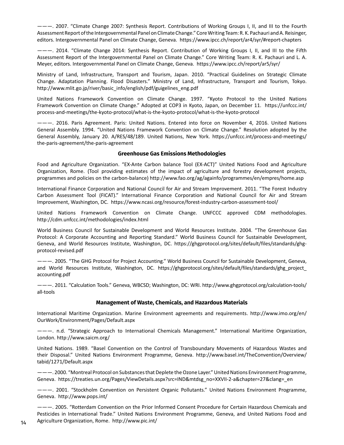$---$ . 2007. "Climate Change 2007: Synthesis Report. Contributions of Working Groups I, II, and III to the Fourth Assessment Report of the Intergovernmental Panel on Climate Change." Core Writing Team: R. K. Pachauri and A. Reisinger, editors. Intergovernmental Panel on Climate Change, Geneva. https://www.ipcc.ch/report/ar4/syr/#report-chapters

 $---$ . 2014. "Climate Change 2014: Synthesis Report. Contribution of Working Groups I, II, and III to the Fifth Assessment Report of the Intergovernmental Panel on Climate Change." Core Writing Team: R. K. Pachauri and L. A. Meyer, editors. Intergovernmental Panel on Climate Change, Geneva. https://www.ipcc.ch/report/ar5/syr/

Ministry of Land, Infrastructure, Transport and Tourism, Japan. 2010. "Practical Guidelines on Strategic Climate Change. Adaptation Planning. Flood Disasters. Ministry of Land, Infrastructure, Transport and Tourism, Tokyo. [http://www.mlit.go.jp/river/basic\\_info/english/pdf/guigelines\\_eng.pdf](http://www.mlit.go.jp/river/basic_info/english/pdf/guigelines_eng.pdf) 

United Nations Framework Convention on Climate Change. 1997. "Kyoto Protocol to the United Nations Framework Convention on Climate Change." Adopted at COP3 in Kyoto, Japan, on December 11. [https://unfccc.int/](https://unfccc.int/process-and-meetings/the-kyoto-protocol/what-is-the-kyoto-protocol/what-is-the-kyoto-protocol) [process-and-meetings/the-kyoto-protocol/what-is-the-kyoto-protocol/what-is-the-kyoto-protocol](https://unfccc.int/process-and-meetings/the-kyoto-protocol/what-is-the-kyoto-protocol/what-is-the-kyoto-protocol) 

. 2016. Paris Agreement. Paris: United Nations. Entered into force on November 4, 2016. United Nations General Assembly. 1994. "United Nations Framework Convention on Climate Change." Resolution adopted by the General Assembly, January 20. A/RES/48/189. United Nations, New York. [https://unfccc.int/process-and-meetings/](https://unfccc.int/process-and-meetings/the-paris-agreement/the-paris-agreement) [the-paris-agreement/the-paris-agreement](https://unfccc.int/process-and-meetings/the-paris-agreement/the-paris-agreement)

#### **Greenhouse Gas Emissions Methodologies**

Food and Agriculture Organization. "EX-Ante Carbon balance Tool (EX-ACT)" United Nations Food and Agriculture Organization, Rome. (Tool providing estimates of the impact of agriculture and forestry development projects, programmes and policies on the carbon-balance) http://www.fao.org/ag/againfo/programmes/en/empres/home.asp

International Finance Corporation and National Council for Air and Stream Improvement. 2011. "The Forest Industry Carbon Assessment Tool (FICAT)." International Finance Corporation and National Council for Air and Stream Improvement, Washington, DC. https://www.ncasi.org/resource/forest-industry-carbon-assessment-tool/

United Nations Framework Convention on Climate Change. UNFCCC approved CDM methodologies. <http://cdm.unfccc.int/methodologies/index.html>

World Business Council for Sustainable Development and World Resources Institute. 2004. "The Greenhouse Gas Protocol: A Corporate Accounting and Reporting Standard." World Business Council for Sustainable Development, Geneva, and World Resources Institute, Washington, DC. [https://ghgprotocol.org/sites/default/files/standards/ghg](https://ghgprotocol.org/sites/default/files/standards/ghg-protocol-revised.pdf)[protocol-revised.pdf](https://ghgprotocol.org/sites/default/files/standards/ghg-protocol-revised.pdf)

. 2005. The GHG Protocol for Project Accounting. World Business Council for Sustainable Development, Geneva, and World Resources Institute, Washington, DC. [https://ghgprotocol.org/sites/default/files/standards/ghg\\_project\\_](https://ghgprotocol.org/sites/default/files/standards/ghg_project_accounting.pdf) [accounting.pdf](https://ghgprotocol.org/sites/default/files/standards/ghg_project_accounting.pdf)

. 2011. Calculation Tools. Geneva, WBCSD; Washington, DC: WRI. [http://www.ghgprotocol.org/calculation-tools/](http://www.ghgprotocol.org/calculation-tools/all-tools) [all-tools](http://www.ghgprotocol.org/calculation-tools/all-tools)

#### **Management of Waste, Chemicals, and Hazardous Materials**

International Maritime Organization. Marine Environment agreements and requirements. [http://www.imo.org/en/](http://www.imo.org/en/OurWork/Environment/Pages/Default.aspx) [OurWork/Environment/Pages/Default.aspx](http://www.imo.org/en/OurWork/Environment/Pages/Default.aspx)

---. n.d. "Strategic Approach to International Chemicals Management." International Maritime Organization, London. http://www.saicm.org/

United Nations. 1989. "Basel Convention on the Control of Transboundary Movements of Hazardous Wastes and their Disposal." United Nations Environment Programme, Geneva. [http://www.basel.int/TheConvention/Overview/](http://www.basel.int/TheConvention/Overview/tabid/1271/Default.aspx) [tabid/1271/Default.aspx](http://www.basel.int/TheConvention/Overview/tabid/1271/Default.aspx) 

 $---$ . 2000. "Montreal Protocol on Substances that Deplete the Ozone Layer." United Nations Environment Programme, Geneva. https://treaties.un.org/Pages/ViewDetails.aspx?src=IND&mtdsg\_no=XXVII-2-a&chapter=27&clang=\_en

---. 2001. "Stockholm Convention on Persistent Organic Pollutants." United Nations Environment Programme, Geneva. http://www.pops.int/

 $---$ . 2005. "Rotterdam Convention on the Prior Informed Consent Procedure for Certain Hazardous Chemicals and Pesticides in International Trade." United Nations Environment Programme, Geneva, and United Nations Food and Agriculture Organization, Rome. http://www.pic.int/